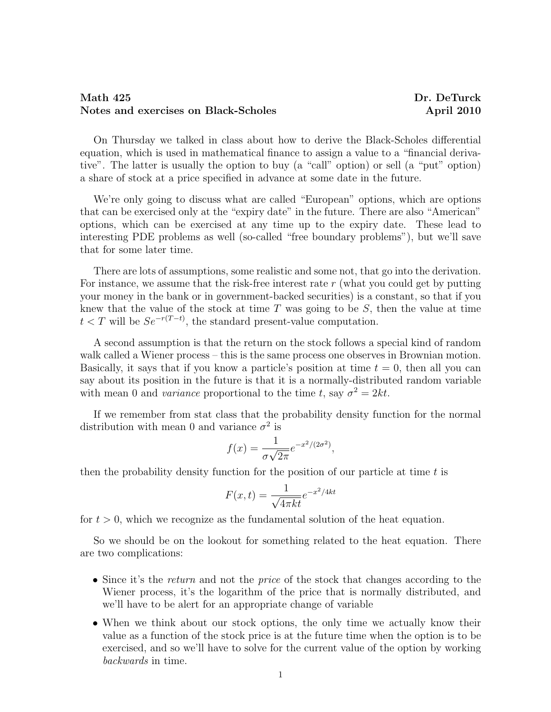## Math 425 Dr. DeTurck Notes and exercises on Black-Scholes April 2010

On Thursday we talked in class about how to derive the Black-Scholes differential equation, which is used in mathematical finance to assign a value to a "financial derivative". The latter is usually the option to buy (a "call" option) or sell (a "put" option) a share of stock at a price specified in advance at some date in the future.

We're only going to discuss what are called "European" options, which are options that can be exercised only at the "expiry date" in the future. There are also "American" options, which can be exercised at any time up to the expiry date. These lead to interesting PDE problems as well (so-called "free boundary problems"), but we'll save that for some later time.

There are lots of assumptions, some realistic and some not, that go into the derivation. For instance, we assume that the risk-free interest rate  $r$  (what you could get by putting your money in the bank or in government-backed securities) is a constant, so that if you knew that the value of the stock at time  $T$  was going to be  $S$ , then the value at time  $t < T$  will be  $Se^{-r(T-t)}$ , the standard present-value computation.

A second assumption is that the return on the stock follows a special kind of random walk called a Wiener process – this is the same process one observes in Brownian motion. Basically, it says that if you know a particle's position at time  $t = 0$ , then all you can say about its position in the future is that it is a normally-distributed random variable with mean 0 and variance proportional to the time t, say  $\sigma^2 = 2kt$ .

If we remember from stat class that the probability density function for the normal distribution with mean 0 and variance  $\sigma^2$  is

$$
f(x) = \frac{1}{\sigma\sqrt{2\pi}}e^{-x^2/(2\sigma^2)},
$$

then the probability density function for the position of our particle at time  $t$  is

$$
F(x,t) = \frac{1}{\sqrt{4\pi kt}}e^{-x^2/4kt}
$$

for  $t > 0$ , which we recognize as the fundamental solution of the heat equation.

So we should be on the lookout for something related to the heat equation. There are two complications:

- Since it's the return and not the price of the stock that changes according to the Wiener process, it's the logarithm of the price that is normally distributed, and we'll have to be alert for an appropriate change of variable
- When we think about our stock options, the only time we actually know their value as a function of the stock price is at the future time when the option is to be exercised, and so we'll have to solve for the current value of the option by working backwards in time.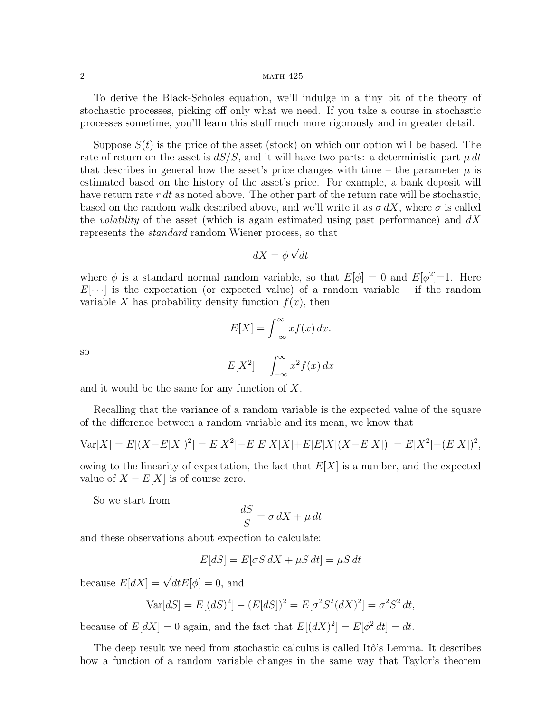## 2 math 425

To derive the Black-Scholes equation, we'll indulge in a tiny bit of the theory of stochastic processes, picking off only what we need. If you take a course in stochastic processes sometime, you'll learn this stuff much more rigorously and in greater detail.

Suppose  $S(t)$  is the price of the asset (stock) on which our option will be based. The rate of return on the asset is  $dS/S$ , and it will have two parts: a deterministic part  $\mu dt$ that describes in general how the asset's price changes with time – the parameter  $\mu$  is estimated based on the history of the asset's price. For example, a bank deposit will have return rate  $r \, dt$  as noted above. The other part of the return rate will be stochastic, based on the random walk described above, and we'll write it as  $\sigma dX$ , where  $\sigma$  is called the volatility of the asset (which is again estimated using past performance) and  $dX$ represents the standard random Wiener process, so that

$$
dX = \phi \sqrt{dt}
$$

where  $\phi$  is a standard normal random variable, so that  $E[\phi] = 0$  and  $E[\phi^2] = 1$ . Here  $E[\cdots]$  is the expectation (or expected value) of a random variable – if the random variable X has probability density function  $f(x)$ , then

$$
E[X] = \int_{-\infty}^{\infty} x f(x) \, dx.
$$

so

$$
E[X^2] = \int_{-\infty}^{\infty} x^2 f(x) \, dx
$$

and it would be the same for any function of X.

Recalling that the variance of a random variable is the expected value of the square of the difference between a random variable and its mean, we know that

$$
Var[X] = E[(X - E[X])^{2}] = E[X^{2}] - E[E[X]X] + E[E[X](X - E[X])] = E[X^{2}] - (E[X])^{2},
$$

owing to the linearity of expectation, the fact that  $E[X]$  is a number, and the expected value of  $X - E[X]$  is of course zero.

So we start from

$$
\frac{dS}{S} = \sigma \, dX + \mu \, dt
$$

and these observations about expection to calculate:

$$
E[dS] = E[\sigma S \, dX + \mu S \, dt] = \mu S \, dt
$$

because  $E[dX] = \sqrt{dt}E[\phi] = 0$ , and

$$
Var[dS] = E[(dS)^{2}] - (E[dS])^{2} = E[\sigma^{2}S^{2}(dX)^{2}] = \sigma^{2}S^{2} dt,
$$

because of  $E[dX] = 0$  again, and the fact that  $E[(dX)^2] = E[\phi^2 dt] = dt$ .

The deep result we need from stochastic calculus is called Itô's Lemma. It describes how a function of a random variable changes in the same way that Taylor's theorem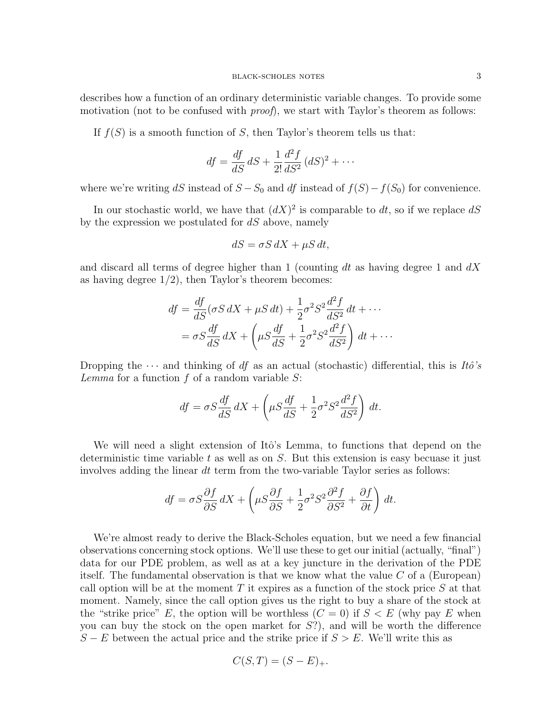describes how a function of an ordinary deterministic variable changes. To provide some motivation (not to be confused with *proof*), we start with Taylor's theorem as follows:

If  $f(S)$  is a smooth function of S, then Taylor's theorem tells us that:

$$
df = \frac{df}{dS} dS + \frac{1}{2!} \frac{d^2f}{dS^2} (dS)^2 + \cdots
$$

where we're writing dS instead of  $S - S_0$  and df instead of  $f(S) - f(S_0)$  for convenience.

In our stochastic world, we have that  $(dX)^2$  is comparable to dt, so if we replace dS by the expression we postulated for  $dS$  above, namely

$$
dS = \sigma S \, dX + \mu S \, dt,
$$

and discard all terms of degree higher than 1 (counting dt as having degree 1 and  $dX$ as having degree 1/2), then Taylor's theorem becomes:

$$
df = \frac{df}{dS}(\sigma S dX + \mu S dt) + \frac{1}{2}\sigma^2 S^2 \frac{d^2 f}{dS^2} dt + \cdots
$$
  
=  $\sigma S \frac{df}{dS} dX + \left(\mu S \frac{df}{dS} + \frac{1}{2}\sigma^2 S^2 \frac{d^2 f}{dS^2}\right) dt + \cdots$ 

Dropping the  $\cdots$  and thinking of df as an actual (stochastic) differential, this is  $It\delta's$ Lemma for a function  $f$  of a random variable  $S$ :

$$
df = \sigma S \frac{df}{dS} dX + \left(\mu S \frac{df}{dS} + \frac{1}{2} \sigma^2 S^2 \frac{d^2 f}{dS^2}\right) dt.
$$

We will need a slight extension of Itô's Lemma, to functions that depend on the deterministic time variable  $t$  as well as on  $S$ . But this extension is easy becuase it just involves adding the linear dt term from the two-variable Taylor series as follows:

$$
df = \sigma S \frac{\partial f}{\partial S} dX + \left( \mu S \frac{\partial f}{\partial S} + \frac{1}{2} \sigma^2 S^2 \frac{\partial^2 f}{\partial S^2} + \frac{\partial f}{\partial t} \right) dt.
$$

We're almost ready to derive the Black-Scholes equation, but we need a few financial observations concerning stock options. We'll use these to get our initial (actually, "final") data for our PDE problem, as well as at a key juncture in the derivation of the PDE itself. The fundamental observation is that we know what the value  $C$  of a (European) call option will be at the moment  $T$  it expires as a function of the stock price  $S$  at that moment. Namely, since the call option gives us the right to buy a share of the stock at the "strike price" E, the option will be worthless  $(C = 0)$  if  $S < E$  (why pay E when you can buy the stock on the open market for  $S$ ?), and will be worth the difference  $S - E$  between the actual price and the strike price if  $S > E$ . We'll write this as

$$
C(S,T) = (S - E)_+.
$$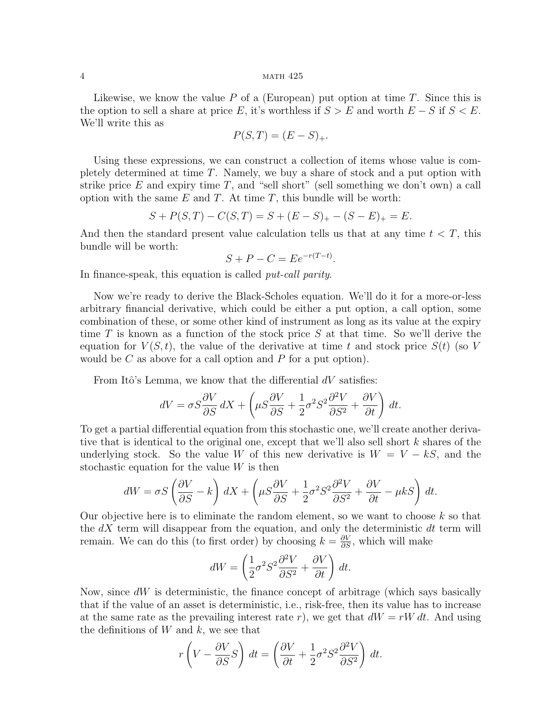Likewise, we know the value  $P$  of a (European) put option at time  $T$ . Since this is the option to sell a share at price E, it's worthless if  $S > E$  and worth  $E - S$  if  $S < E$ . We'll write this as

$$
P(S,T) = (E - S)_+.
$$

Using these expressions, we can construct a collection of items whose value is completely determined at time T. Namely, we buy a share of stock and a put option with strike price  $E$  and expiry time  $T$ , and "sell short" (sell something we don't own) a call option with the same  $E$  and  $T$ . At time  $T$ , this bundle will be worth:

$$
S + P(S, T) - C(S, T) = S + (E - S)_{+} - (S - E)_{+} = E.
$$

And then the standard present value calculation tells us that at any time  $t < T$ , this bundle will be worth:

$$
S + P - C = E e^{-r(T-t)}.
$$

In finance-speak, this equation is called *put-call parity*.

Now we're ready to derive the Black-Scholes equation. We'll do it for a more-or-less arbitrary financial derivative, which could be either a put option, a call option, some combination of these, or some other kind of instrument as long as its value at the expiry time T is known as a function of the stock price S at that time. So we'll derive the equation for  $V(S,t)$ , the value of the derivative at time t and stock price  $S(t)$  (so V would be  $C$  as above for a call option and  $P$  for a put option).

From Itô's Lemma, we know that the differential  $dV$  satisfies:

$$
dV = \sigma S \frac{\partial V}{\partial S} dX + \left( \mu S \frac{\partial V}{\partial S} + \frac{1}{2} \sigma^2 S^2 \frac{\partial^2 V}{\partial S^2} + \frac{\partial V}{\partial t} \right) dt.
$$

To get a partial differential equation from this stochastic one, we'll create another derivative that is identical to the original one, except that we'll also sell short k shares of the underlying stock. So the value W of this new derivative is  $W = V - kS$ , and the stochastic equation for the value  $W$  is then

$$
dW = \sigma S \left(\frac{\partial V}{\partial S} - k\right) dX + \left(\mu S \frac{\partial V}{\partial S} + \frac{1}{2} \sigma^2 S^2 \frac{\partial^2 V}{\partial S^2} + \frac{\partial V}{\partial t} - \mu k S\right) dt.
$$

Our objective here is to eliminate the random element, so we want to choose  $k$  so that the  $dX$  term will disappear from the equation, and only the deterministic  $dt$  term will remain. We can do this (to first order) by choosing  $k = \frac{\partial V}{\partial S}$ , which will make

$$
dW = \left(\frac{1}{2}\sigma^2 S^2 \frac{\partial^2 V}{\partial S^2} + \frac{\partial V}{\partial t}\right) dt.
$$

Now, since  $dW$  is deterministic, the finance concept of arbitrage (which says basically that if the value of an asset is deterministic, i.e., risk-free, then its value has to increase at the same rate as the prevailing interest rate r), we get that  $dW = rW dt$ . And using the definitions of  $W$  and  $k$ , we see that

$$
r\left(V - \frac{\partial V}{\partial S}S\right) dt = \left(\frac{\partial V}{\partial t} + \frac{1}{2}\sigma^2 S^2 \frac{\partial^2 V}{\partial S^2}\right) dt.
$$